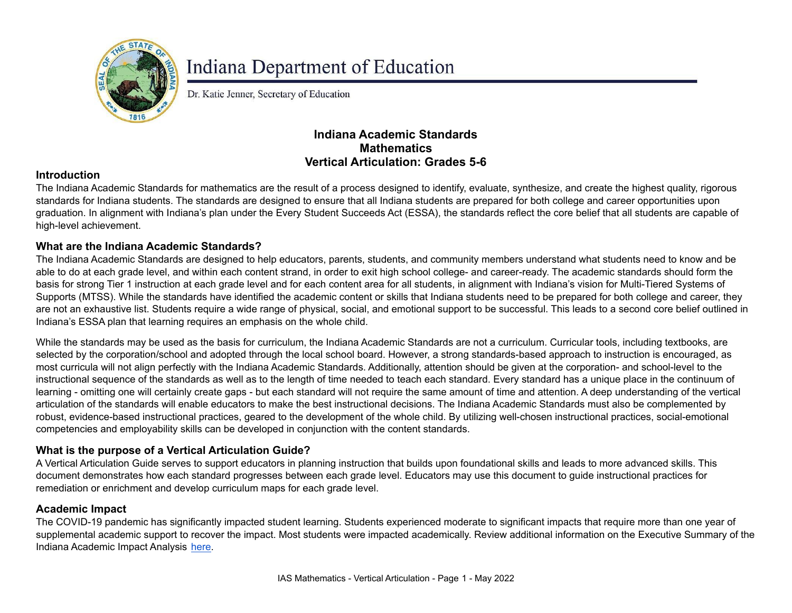

# **Indiana Department of Education**

Dr. Katie Jenner, Secretary of Education

## **Indiana Academic Standards Mathematics Vertical Articulation: Grades 5-6**

### **Introduction**

The Indiana Academic Standards for mathematics are the result of a process designed to identify, evaluate, synthesize, and create the highest quality, rigorous standards for Indiana students. The standards are designed to ensure that all Indiana students are prepared for both college and career opportunities upon graduation. In alignment with Indiana's plan under the Every Student Succeeds Act (ESSA), the standards reflect the core belief that all students are capable of high-level achievement.

#### **What are the Indiana Academic Standards?**

The Indiana Academic Standards are designed to help educators, parents, students, and community members understand what students need to know and be able to do at each grade level, and within each content strand, in order to exit high school college- and career-ready. The academic standards should form the basis for strong Tier 1 instruction at each grade level and for each content area for all students, in alignment with Indiana's vision for Multi-Tiered Systems of Supports (MTSS). While the standards have identified the academic content or skills that Indiana students need to be prepared for both college and career, they are not an exhaustive list. Students require a wide range of physical, social, and emotional support to be successful. This leads to a second core belief outlined in Indiana's ESSA plan that learning requires an emphasis on the whole child.

While the standards may be used as the basis for curriculum, the Indiana Academic Standards are not a curriculum. Curricular tools, including textbooks, are selected by the corporation/school and adopted through the local school board. However, a strong standards-based approach to instruction is encouraged, as most curricula will not align perfectly with the Indiana Academic Standards. Additionally, attention should be given at the corporation- and school-level to the instructional sequence of the standards as well as to the length of time needed to teach each standard. Every standard has a unique place in the continuum of learning - omitting one will certainly create gaps - but each standard will not require the same amount of time and attention. A deep understanding of the vertical articulation of the standards will enable educators to make the best instructional decisions. The Indiana Academic Standards must also be complemented by robust, evidence-based instructional practices, geared to the development of the whole child. By utilizing well-chosen instructional practices, social-emotional competencies and employability skills can be developed in conjunction with the content standards.

## **What is the purpose of a Vertical Articulation Guide?**

A Vertical Articulation Guide serves to support educators in planning instruction that builds upon foundational skills and leads to more advanced skills. This document demonstrates how each standard progresses between each grade level. Educators may use this document to guide instructional practices for remediation or enrichment and develop curriculum maps for each grade level.

#### **Academic Impact**

The COVID-19 pandemic has significantly impacted student learning. Students experienced moderate to significant impacts that require more than one year of supplemental academic support to recover the impact. Most students were impacted academically. Review additional information on the Executive Summary of the Indiana Academic Impact Analysis [here](https://media.doe.in.gov/assessment/7.14.21-sboe-presentation.pdf).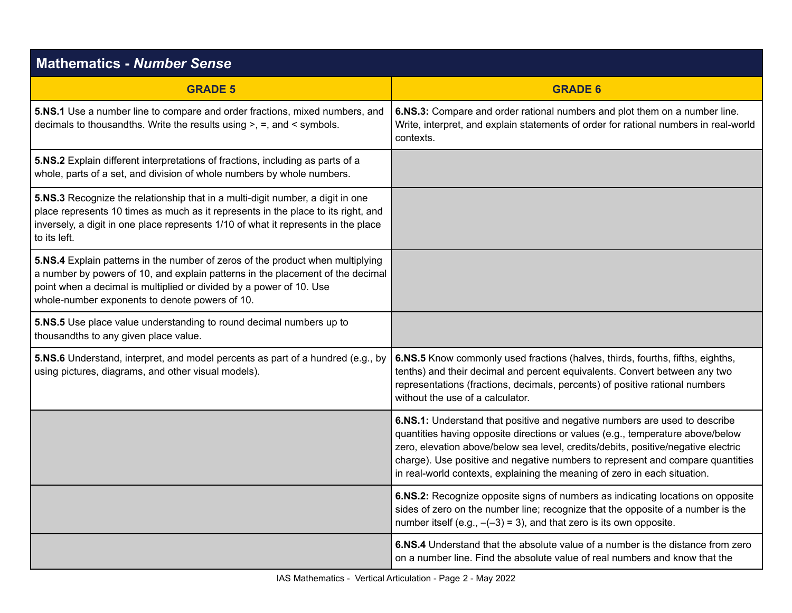| <b>Mathematics - Number Sense</b>                                                                                                                                                                                                                                                         |                                                                                                                                                                                                                                                                                                                                                                                                                  |
|-------------------------------------------------------------------------------------------------------------------------------------------------------------------------------------------------------------------------------------------------------------------------------------------|------------------------------------------------------------------------------------------------------------------------------------------------------------------------------------------------------------------------------------------------------------------------------------------------------------------------------------------------------------------------------------------------------------------|
| <b>GRADE 5</b>                                                                                                                                                                                                                                                                            | <b>GRADE 6</b>                                                                                                                                                                                                                                                                                                                                                                                                   |
| 5.NS.1 Use a number line to compare and order fractions, mixed numbers, and<br>decimals to thousand ths. Write the results using $>$ , $=$ , and $\le$ symbols.                                                                                                                           | 6.NS.3: Compare and order rational numbers and plot them on a number line.<br>Write, interpret, and explain statements of order for rational numbers in real-world<br>contexts.                                                                                                                                                                                                                                  |
| 5.NS.2 Explain different interpretations of fractions, including as parts of a<br>whole, parts of a set, and division of whole numbers by whole numbers.                                                                                                                                  |                                                                                                                                                                                                                                                                                                                                                                                                                  |
| 5.NS.3 Recognize the relationship that in a multi-digit number, a digit in one<br>place represents 10 times as much as it represents in the place to its right, and<br>inversely, a digit in one place represents 1/10 of what it represents in the place<br>to its left.                 |                                                                                                                                                                                                                                                                                                                                                                                                                  |
| 5.NS.4 Explain patterns in the number of zeros of the product when multiplying<br>a number by powers of 10, and explain patterns in the placement of the decimal<br>point when a decimal is multiplied or divided by a power of 10. Use<br>whole-number exponents to denote powers of 10. |                                                                                                                                                                                                                                                                                                                                                                                                                  |
| 5.NS.5 Use place value understanding to round decimal numbers up to<br>thousandths to any given place value.                                                                                                                                                                              |                                                                                                                                                                                                                                                                                                                                                                                                                  |
| 5.NS.6 Understand, interpret, and model percents as part of a hundred (e.g., by<br>using pictures, diagrams, and other visual models).                                                                                                                                                    | 6.NS.5 Know commonly used fractions (halves, thirds, fourths, fifths, eighths,<br>tenths) and their decimal and percent equivalents. Convert between any two<br>representations (fractions, decimals, percents) of positive rational numbers<br>without the use of a calculator.                                                                                                                                 |
|                                                                                                                                                                                                                                                                                           | 6.NS.1: Understand that positive and negative numbers are used to describe<br>quantities having opposite directions or values (e.g., temperature above/below<br>zero, elevation above/below sea level, credits/debits, positive/negative electric<br>charge). Use positive and negative numbers to represent and compare quantities<br>in real-world contexts, explaining the meaning of zero in each situation. |
|                                                                                                                                                                                                                                                                                           | 6.NS.2: Recognize opposite signs of numbers as indicating locations on opposite<br>sides of zero on the number line; recognize that the opposite of a number is the<br>number itself (e.g., $-(-3) = 3$ ), and that zero is its own opposite.                                                                                                                                                                    |
|                                                                                                                                                                                                                                                                                           | 6.NS.4 Understand that the absolute value of a number is the distance from zero<br>on a number line. Find the absolute value of real numbers and know that the                                                                                                                                                                                                                                                   |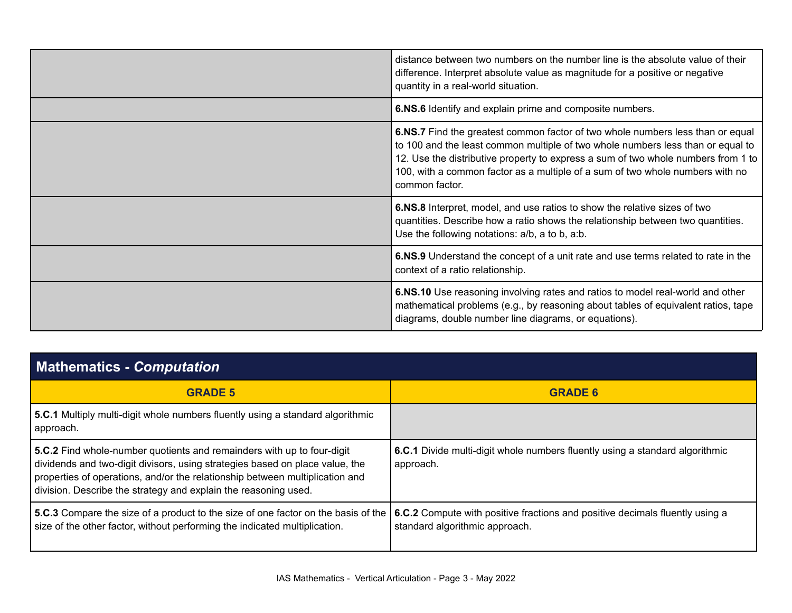| distance between two numbers on the number line is the absolute value of their<br>difference. Interpret absolute value as magnitude for a positive or negative<br>quantity in a real-world situation.                                                                                                                                                     |
|-----------------------------------------------------------------------------------------------------------------------------------------------------------------------------------------------------------------------------------------------------------------------------------------------------------------------------------------------------------|
| 6.NS.6 Identify and explain prime and composite numbers.                                                                                                                                                                                                                                                                                                  |
| 6.NS.7 Find the greatest common factor of two whole numbers less than or equal<br>to 100 and the least common multiple of two whole numbers less than or equal to<br>12. Use the distributive property to express a sum of two whole numbers from 1 to<br>100, with a common factor as a multiple of a sum of two whole numbers with no<br>common factor. |
| 6.NS.8 Interpret, model, and use ratios to show the relative sizes of two<br>quantities. Describe how a ratio shows the relationship between two quantities.<br>Use the following notations: a/b, a to b, a:b.                                                                                                                                            |
| 6.NS.9 Understand the concept of a unit rate and use terms related to rate in the<br>context of a ratio relationship.                                                                                                                                                                                                                                     |
| 6.NS.10 Use reasoning involving rates and ratios to model real-world and other<br>mathematical problems (e.g., by reasoning about tables of equivalent ratios, tape<br>diagrams, double number line diagrams, or equations).                                                                                                                              |

| <b>Mathematics - Computation</b>                                                                                                                                                                                                                                                                          |                                                                                                                |
|-----------------------------------------------------------------------------------------------------------------------------------------------------------------------------------------------------------------------------------------------------------------------------------------------------------|----------------------------------------------------------------------------------------------------------------|
| <b>GRADE 5</b>                                                                                                                                                                                                                                                                                            | <b>GRADE 6</b>                                                                                                 |
| 5.C.1 Multiply multi-digit whole numbers fluently using a standard algorithmic<br>approach.                                                                                                                                                                                                               |                                                                                                                |
| 5.C.2 Find whole-number quotients and remainders with up to four-digit<br>dividends and two-digit divisors, using strategies based on place value, the<br>properties of operations, and/or the relationship between multiplication and<br>division. Describe the strategy and explain the reasoning used. | 6.C.1 Divide multi-digit whole numbers fluently using a standard algorithmic<br>approach.                      |
| 5.C.3 Compare the size of a product to the size of one factor on the basis of the<br>size of the other factor, without performing the indicated multiplication.                                                                                                                                           | 6.C.2 Compute with positive fractions and positive decimals fluently using a<br>standard algorithmic approach. |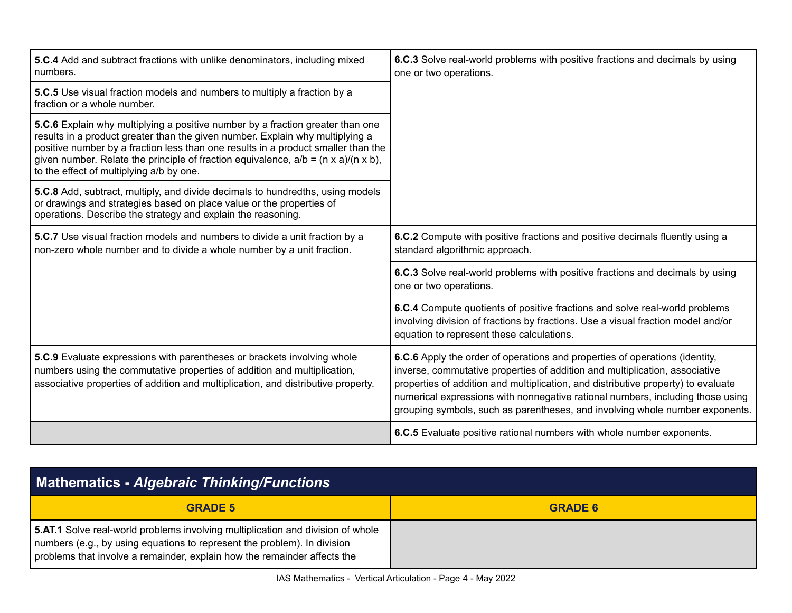| 5.C.4 Add and subtract fractions with unlike denominators, including mixed<br>numbers.                                                                                                                                                                                                                                                                                                              | 6.C.3 Solve real-world problems with positive fractions and decimals by using<br>one or two operations.                                                                                                                                                                                                                                                                                                           |
|-----------------------------------------------------------------------------------------------------------------------------------------------------------------------------------------------------------------------------------------------------------------------------------------------------------------------------------------------------------------------------------------------------|-------------------------------------------------------------------------------------------------------------------------------------------------------------------------------------------------------------------------------------------------------------------------------------------------------------------------------------------------------------------------------------------------------------------|
| 5.C.5 Use visual fraction models and numbers to multiply a fraction by a<br>fraction or a whole number.                                                                                                                                                                                                                                                                                             |                                                                                                                                                                                                                                                                                                                                                                                                                   |
| 5.C.6 Explain why multiplying a positive number by a fraction greater than one<br>results in a product greater than the given number. Explain why multiplying a<br>positive number by a fraction less than one results in a product smaller than the<br>given number. Relate the principle of fraction equivalence, $a/b = (n \times a)/(n \times b)$ ,<br>to the effect of multiplying a/b by one. |                                                                                                                                                                                                                                                                                                                                                                                                                   |
| 5.C.8 Add, subtract, multiply, and divide decimals to hundredths, using models<br>or drawings and strategies based on place value or the properties of<br>operations. Describe the strategy and explain the reasoning.                                                                                                                                                                              |                                                                                                                                                                                                                                                                                                                                                                                                                   |
| 5.C.7 Use visual fraction models and numbers to divide a unit fraction by a<br>non-zero whole number and to divide a whole number by a unit fraction.                                                                                                                                                                                                                                               | 6.C.2 Compute with positive fractions and positive decimals fluently using a<br>standard algorithmic approach.                                                                                                                                                                                                                                                                                                    |
|                                                                                                                                                                                                                                                                                                                                                                                                     | 6.C.3 Solve real-world problems with positive fractions and decimals by using<br>one or two operations.                                                                                                                                                                                                                                                                                                           |
|                                                                                                                                                                                                                                                                                                                                                                                                     | 6.C.4 Compute quotients of positive fractions and solve real-world problems<br>involving division of fractions by fractions. Use a visual fraction model and/or<br>equation to represent these calculations.                                                                                                                                                                                                      |
| 5.C.9 Evaluate expressions with parentheses or brackets involving whole<br>numbers using the commutative properties of addition and multiplication,<br>associative properties of addition and multiplication, and distributive property.                                                                                                                                                            | 6.C.6 Apply the order of operations and properties of operations (identity,<br>inverse, commutative properties of addition and multiplication, associative<br>properties of addition and multiplication, and distributive property) to evaluate<br>numerical expressions with nonnegative rational numbers, including those using<br>grouping symbols, such as parentheses, and involving whole number exponents. |
|                                                                                                                                                                                                                                                                                                                                                                                                     | 6.C.5 Evaluate positive rational numbers with whole number exponents.                                                                                                                                                                                                                                                                                                                                             |

| <b>Mathematics - Algebraic Thinking/Functions</b>                                                                                                                                                                                       |                |
|-----------------------------------------------------------------------------------------------------------------------------------------------------------------------------------------------------------------------------------------|----------------|
| <b>GRADE 5</b>                                                                                                                                                                                                                          | <b>GRADE 6</b> |
| 5.AT.1 Solve real-world problems involving multiplication and division of whole<br>numbers (e.g., by using equations to represent the problem). In division<br>problems that involve a remainder, explain how the remainder affects the |                |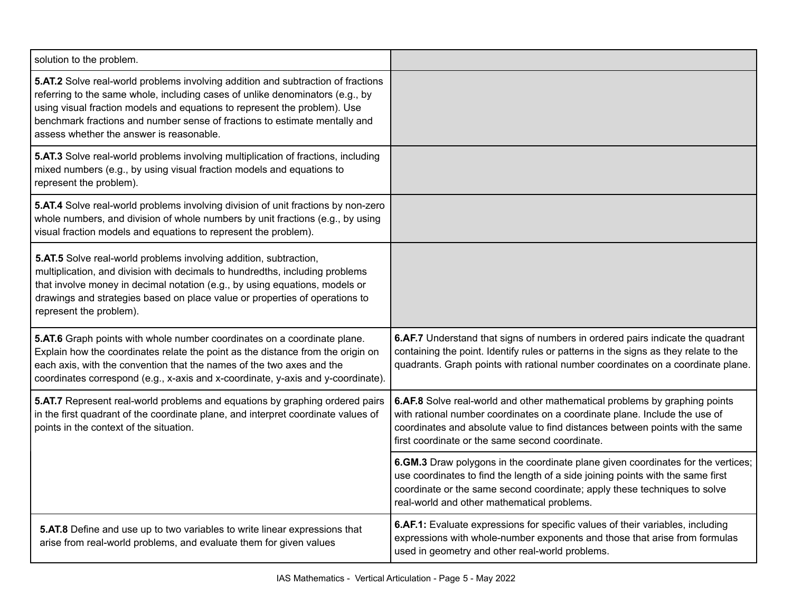| solution to the problem.                                                                                                                                                                                                                                                                                                                                                 |                                                                                                                                                                                                                                                                                                 |
|--------------------------------------------------------------------------------------------------------------------------------------------------------------------------------------------------------------------------------------------------------------------------------------------------------------------------------------------------------------------------|-------------------------------------------------------------------------------------------------------------------------------------------------------------------------------------------------------------------------------------------------------------------------------------------------|
| 5.AT.2 Solve real-world problems involving addition and subtraction of fractions<br>referring to the same whole, including cases of unlike denominators (e.g., by<br>using visual fraction models and equations to represent the problem). Use<br>benchmark fractions and number sense of fractions to estimate mentally and<br>assess whether the answer is reasonable. |                                                                                                                                                                                                                                                                                                 |
| 5.AT.3 Solve real-world problems involving multiplication of fractions, including<br>mixed numbers (e.g., by using visual fraction models and equations to<br>represent the problem).                                                                                                                                                                                    |                                                                                                                                                                                                                                                                                                 |
| 5.AT.4 Solve real-world problems involving division of unit fractions by non-zero<br>whole numbers, and division of whole numbers by unit fractions (e.g., by using<br>visual fraction models and equations to represent the problem).                                                                                                                                   |                                                                                                                                                                                                                                                                                                 |
| 5.AT.5 Solve real-world problems involving addition, subtraction,<br>multiplication, and division with decimals to hundredths, including problems<br>that involve money in decimal notation (e.g., by using equations, models or<br>drawings and strategies based on place value or properties of operations to<br>represent the problem).                               |                                                                                                                                                                                                                                                                                                 |
| 5.AT.6 Graph points with whole number coordinates on a coordinate plane.<br>Explain how the coordinates relate the point as the distance from the origin on<br>each axis, with the convention that the names of the two axes and the<br>coordinates correspond (e.g., x-axis and x-coordinate, y-axis and y-coordinate).                                                 | 6.AF.7 Understand that signs of numbers in ordered pairs indicate the quadrant<br>containing the point. Identify rules or patterns in the signs as they relate to the<br>quadrants. Graph points with rational number coordinates on a coordinate plane.                                        |
| 5.AT.7 Represent real-world problems and equations by graphing ordered pairs<br>in the first quadrant of the coordinate plane, and interpret coordinate values of<br>points in the context of the situation.                                                                                                                                                             | 6.AF.8 Solve real-world and other mathematical problems by graphing points<br>with rational number coordinates on a coordinate plane. Include the use of<br>coordinates and absolute value to find distances between points with the same<br>first coordinate or the same second coordinate.    |
|                                                                                                                                                                                                                                                                                                                                                                          | 6.GM.3 Draw polygons in the coordinate plane given coordinates for the vertices;<br>use coordinates to find the length of a side joining points with the same first<br>coordinate or the same second coordinate; apply these techniques to solve<br>real-world and other mathematical problems. |
| 5.AT.8 Define and use up to two variables to write linear expressions that<br>arise from real-world problems, and evaluate them for given values                                                                                                                                                                                                                         | 6.AF.1: Evaluate expressions for specific values of their variables, including<br>expressions with whole-number exponents and those that arise from formulas<br>used in geometry and other real-world problems.                                                                                 |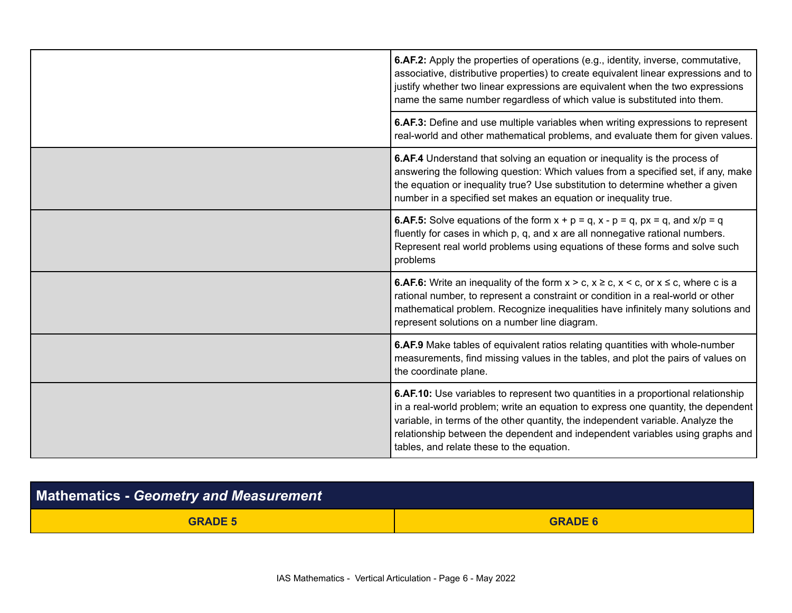|  | <b>6.AF.2:</b> Apply the properties of operations (e.g., identity, inverse, commutative,<br>associative, distributive properties) to create equivalent linear expressions and to<br>justify whether two linear expressions are equivalent when the two expressions<br>name the same number regardless of which value is substituted into them.                                          |
|--|-----------------------------------------------------------------------------------------------------------------------------------------------------------------------------------------------------------------------------------------------------------------------------------------------------------------------------------------------------------------------------------------|
|  | 6.AF.3: Define and use multiple variables when writing expressions to represent<br>real-world and other mathematical problems, and evaluate them for given values.                                                                                                                                                                                                                      |
|  | 6.AF.4 Understand that solving an equation or inequality is the process of<br>answering the following question: Which values from a specified set, if any, make<br>the equation or inequality true? Use substitution to determine whether a given<br>number in a specified set makes an equation or inequality true.                                                                    |
|  | <b>6.AF.5:</b> Solve equations of the form $x + p = q$ , $x - p = q$ , $px = q$ , and $x/p = q$<br>fluently for cases in which p, q, and x are all nonnegative rational numbers.<br>Represent real world problems using equations of these forms and solve such<br>problems                                                                                                             |
|  | <b>6.AF.6:</b> Write an inequality of the form $x > c$ , $x \ge c$ , $x < c$ , or $x \le c$ , where c is a<br>rational number, to represent a constraint or condition in a real-world or other<br>mathematical problem. Recognize inequalities have infinitely many solutions and<br>represent solutions on a number line diagram.                                                      |
|  | 6.AF.9 Make tables of equivalent ratios relating quantities with whole-number<br>measurements, find missing values in the tables, and plot the pairs of values on<br>the coordinate plane.                                                                                                                                                                                              |
|  | 6.AF.10: Use variables to represent two quantities in a proportional relationship<br>in a real-world problem; write an equation to express one quantity, the dependent<br>variable, in terms of the other quantity, the independent variable. Analyze the<br>relationship between the dependent and independent variables using graphs and<br>tables, and relate these to the equation. |

| <b>Mathematics - Geometry and Measurement</b> |                |
|-----------------------------------------------|----------------|
| <b>GRADE 5</b>                                | <b>GRADE 6</b> |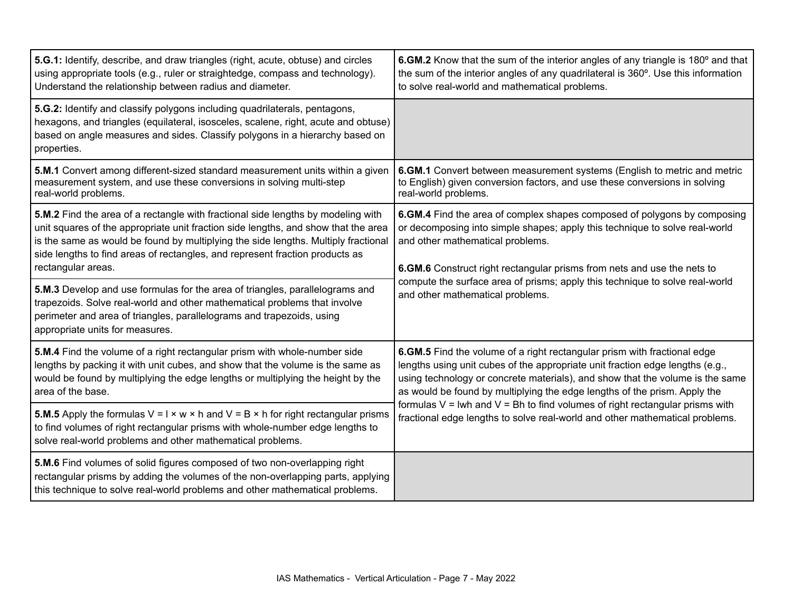| 5.G.1: Identify, describe, and draw triangles (right, acute, obtuse) and circles<br>using appropriate tools (e.g., ruler or straightedge, compass and technology).<br>Understand the relationship between radius and diameter.                                                                                                                                     | 6.GM.2 Know that the sum of the interior angles of any triangle is 180° and that<br>the sum of the interior angles of any quadrilateral is 360°. Use this information<br>to solve real-world and mathematical problems.                                                                                                 |
|--------------------------------------------------------------------------------------------------------------------------------------------------------------------------------------------------------------------------------------------------------------------------------------------------------------------------------------------------------------------|-------------------------------------------------------------------------------------------------------------------------------------------------------------------------------------------------------------------------------------------------------------------------------------------------------------------------|
| 5.G.2: Identify and classify polygons including quadrilaterals, pentagons,<br>hexagons, and triangles (equilateral, isosceles, scalene, right, acute and obtuse)<br>based on angle measures and sides. Classify polygons in a hierarchy based on<br>properties.                                                                                                    |                                                                                                                                                                                                                                                                                                                         |
| 5.M.1 Convert among different-sized standard measurement units within a given<br>measurement system, and use these conversions in solving multi-step<br>real-world problems.                                                                                                                                                                                       | 6.GM.1 Convert between measurement systems (English to metric and metric<br>to English) given conversion factors, and use these conversions in solving<br>real-world problems.                                                                                                                                          |
| 5.M.2 Find the area of a rectangle with fractional side lengths by modeling with<br>unit squares of the appropriate unit fraction side lengths, and show that the area<br>is the same as would be found by multiplying the side lengths. Multiply fractional<br>side lengths to find areas of rectangles, and represent fraction products as<br>rectangular areas. | 6.GM.4 Find the area of complex shapes composed of polygons by composing<br>or decomposing into simple shapes; apply this technique to solve real-world<br>and other mathematical problems.<br>6.GM.6 Construct right rectangular prisms from nets and use the nets to                                                  |
| 5.M.3 Develop and use formulas for the area of triangles, parallelograms and<br>trapezoids. Solve real-world and other mathematical problems that involve<br>perimeter and area of triangles, parallelograms and trapezoids, using<br>appropriate units for measures.                                                                                              | compute the surface area of prisms; apply this technique to solve real-world<br>and other mathematical problems.                                                                                                                                                                                                        |
| 5.M.4 Find the volume of a right rectangular prism with whole-number side<br>lengths by packing it with unit cubes, and show that the volume is the same as<br>would be found by multiplying the edge lengths or multiplying the height by the<br>area of the base.                                                                                                | 6.GM.5 Find the volume of a right rectangular prism with fractional edge<br>lengths using unit cubes of the appropriate unit fraction edge lengths (e.g.,<br>using technology or concrete materials), and show that the volume is the same<br>as would be found by multiplying the edge lengths of the prism. Apply the |
| <b>5.M.5</b> Apply the formulas $V = I \times w \times h$ and $V = B \times h$ for right rectangular prisms<br>to find volumes of right rectangular prisms with whole-number edge lengths to<br>solve real-world problems and other mathematical problems.                                                                                                         | formulas $V = Iwh$ and $V = Bh$ to find volumes of right rectangular prisms with<br>fractional edge lengths to solve real-world and other mathematical problems.                                                                                                                                                        |
| 5.M.6 Find volumes of solid figures composed of two non-overlapping right<br>rectangular prisms by adding the volumes of the non-overlapping parts, applying<br>this technique to solve real-world problems and other mathematical problems.                                                                                                                       |                                                                                                                                                                                                                                                                                                                         |